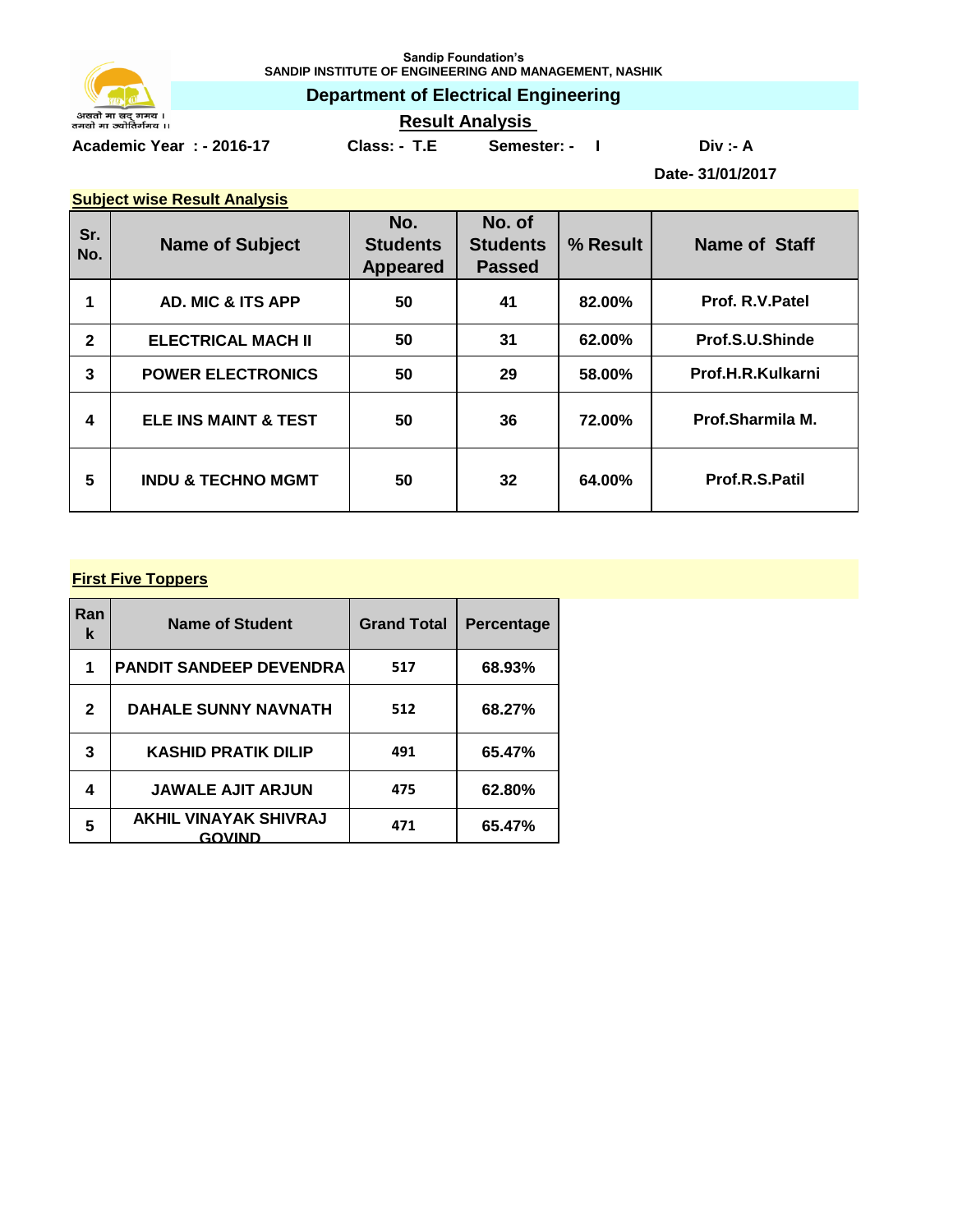

**Sandip Foundation's SANDIP INSTITUTE OF ENGINEERING AND MANAGEMENT, NASHIK**

**Department of Electrical Engineering**

**Result Analysis** 

**Academic Year : - 2016-17 Class: - T.E Semester: - I Div :- A**

**Date- 31/01/2017**

|--|

| Sr.<br>No.   | <b>Name of Subject</b>          | No.<br><b>Students</b><br><b>Appeared</b> | No. of<br><b>Students</b><br><b>Passed</b> | % Result | <b>Name of Staff</b> |
|--------------|---------------------------------|-------------------------------------------|--------------------------------------------|----------|----------------------|
|              | <b>AD. MIC &amp; ITS APP</b>    | 50                                        | 41                                         | 82.00%   | Prof. R.V.Patel      |
| $\mathbf{2}$ | <b>ELECTRICAL MACH II</b>       | 50                                        | 31                                         | 62.00%   | Prof.S.U.Shinde      |
| 3            | <b>POWER ELECTRONICS</b>        | 50                                        | 29                                         | 58.00%   | Prof.H.R.Kulkarni    |
| 4            | <b>ELE INS MAINT &amp; TEST</b> | 50                                        | 36                                         | 72.00%   | Prof.Sharmila M.     |
| 5            | <b>INDU &amp; TECHNO MGMT</b>   | 50                                        | 32                                         | 64.00%   | Prof.R.S.Patil       |

## **First Five Toppers**

| Ran<br>k | <b>Name of Student</b>                 | <b>Grand Total</b> | Percentage |
|----------|----------------------------------------|--------------------|------------|
| 1        | <b>PANDIT SANDEEP DEVENDRA</b>         | 517                | 68.93%     |
| 2        | <b>DAHALE SUNNY NAVNATH</b>            | 512                | 68.27%     |
| 3        | <b>KASHID PRATIK DILIP</b>             | 491                | 65.47%     |
| 4        | <b>JAWALE AJIT ARJUN</b>               | 475                | 62.80%     |
| 5        | <b>AKHIL VINAYAK SHIVRAJ</b><br>GOVIND | 471                | 65.47%     |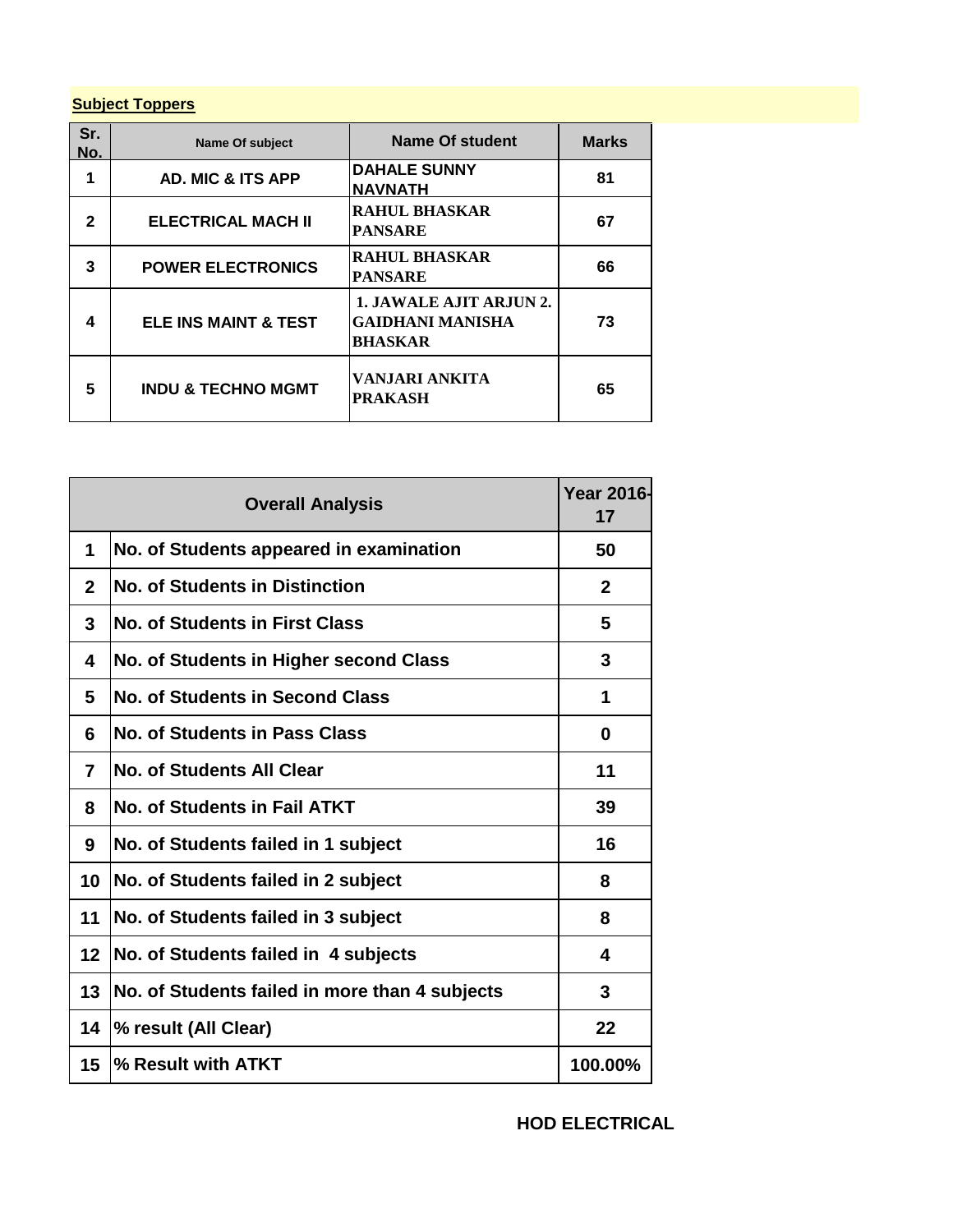## **Subject Toppers**

| Sr.<br>No. | Name Of subject                 | Name Of student                                                             | <b>Marks</b> |
|------------|---------------------------------|-----------------------------------------------------------------------------|--------------|
| 1          | <b>AD. MIC &amp; ITS APP</b>    | <b>DAHALE SUNNY</b><br><b>NAVNATH</b>                                       | 81           |
| 2          | <b>ELECTRICAL MACH II</b>       | <b>RAHUL BHASKAR</b><br><b>PANSARE</b>                                      | 67           |
| 3          | <b>POWER ELECTRONICS</b>        | <b>RAHUL BHASKAR</b><br><b>PANSARE</b>                                      | 66           |
| 4          | <b>ELE INS MAINT &amp; TEST</b> | <b>1. JAWALE AJIT ARJUN 2.</b><br><b>GAIDHANI MANISHA</b><br><b>BHASKAR</b> | 73           |
| 5          | <b>INDU &amp; TECHNO MGMT</b>   | VANJARI ANKITA<br>PRAKASH                                                   | 65           |

|    | <b>Overall Analysis</b>                        | <b>Year 2016-</b><br>17 |
|----|------------------------------------------------|-------------------------|
| 1  | No. of Students appeared in examination        | 50                      |
| 2  | <b>No. of Students in Distinction</b>          | $\mathbf{2}$            |
| 3  | <b>No. of Students in First Class</b>          | 5                       |
| 4  | No. of Students in Higher second Class         | 3                       |
| 5  | <b>No. of Students in Second Class</b>         | 1                       |
| 6  | No. of Students in Pass Class                  | 0                       |
| 7  | <b>No. of Students All Clear</b>               | 11                      |
| 8  | No. of Students in Fail ATKT                   | 39                      |
| 9  | No. of Students failed in 1 subject            | 16                      |
| 10 | No. of Students failed in 2 subject            | 8                       |
| 11 | No. of Students failed in 3 subject            | 8                       |
| 12 | No. of Students failed in 4 subjects           | 4                       |
| 13 | No. of Students failed in more than 4 subjects | 3                       |
| 14 | % result (All Clear)                           | 22                      |
| 15 | % Result with ATKT                             | 100.00%                 |

**HOD ELECTRICAL**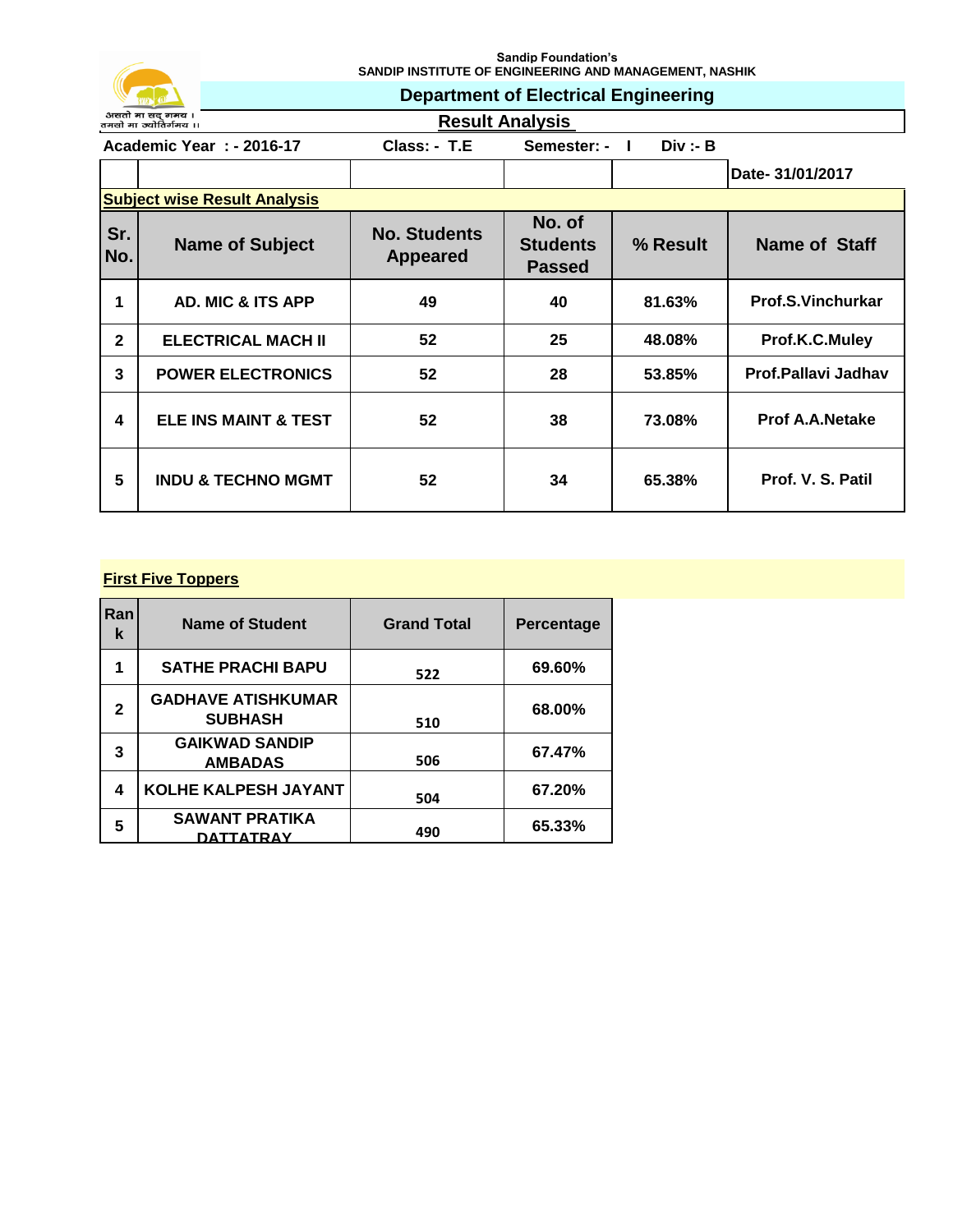

**Sandip Foundation's SANDIP INSTITUTE OF ENGINEERING AND MANAGEMENT, NASHIK**

**Department of Electrical Engineering**

**Result Analysis** 

**Academic Year : - 2016-17** Class: - T.E Semester: - I Div :- B  $\top$  $\top$ 

|                |                                     |                                        |                                            |          | Date- 31/01/2017         |  |  |
|----------------|-------------------------------------|----------------------------------------|--------------------------------------------|----------|--------------------------|--|--|
|                | <b>Subject wise Result Analysis</b> |                                        |                                            |          |                          |  |  |
| Sr.<br>No.     | <b>Name of Subject</b>              | <b>No. Students</b><br><b>Appeared</b> | No. of<br><b>Students</b><br><b>Passed</b> | % Result | Name of Staff            |  |  |
|                | <b>AD. MIC &amp; ITS APP</b>        | 49                                     | 40                                         | 81.63%   | <b>Prof.S.Vinchurkar</b> |  |  |
| $\overline{2}$ | <b>ELECTRICAL MACH II</b>           | 52                                     | 25                                         | 48.08%   | Prof.K.C.Muley           |  |  |
| 3              | <b>POWER ELECTRONICS</b>            | 52                                     | 28                                         | 53.85%   | Prof.Pallavi Jadhav      |  |  |
| 4              | ELE INS MAINT & TEST                | 52                                     | 38                                         | 73.08%   | <b>Prof A.A.Netake</b>   |  |  |
| 5              | <b>INDU &amp; TECHNO MGMT</b>       | 52                                     | 34                                         | 65.38%   | Prof. V. S. Patil        |  |  |

## **First Five Toppers**

| Ran<br>k | <b>Name of Student</b>                      | <b>Grand Total</b> | <b>Percentage</b> |
|----------|---------------------------------------------|--------------------|-------------------|
| 1        | <b>SATHE PRACHI BAPU</b>                    | 522                | 69.60%            |
| 2        | <b>GADHAVE ATISHKUMAR</b><br><b>SUBHASH</b> | 510                | 68.00%            |
| 3        | <b>GAIKWAD SANDIP</b><br><b>AMBADAS</b>     | 506                | 67.47%            |
| 4        | KOLHE KALPESH JAYANT                        | 504                | 67.20%            |
| 5        | <b>SAWANT PRATIKA</b><br>DATTATRAY          | 490                | 65.33%            |